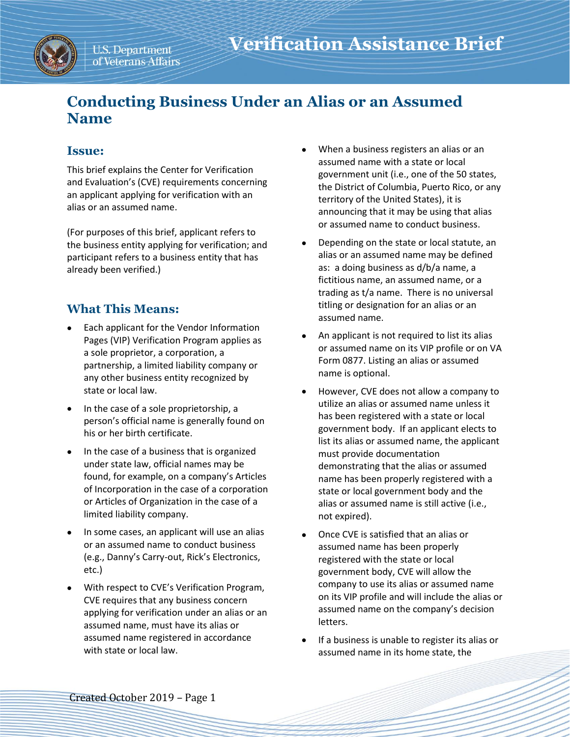

# **Conducting Business Under an Alias or an Assumed Name**

## **Issue:**

This brief explains the Center for Verification and Evaluation's (CVE) requirements concerning an applicant applying for verification with an alias or an assumed name.

(For purposes of this brief, applicant refers to the business entity applying for verification; and participant refers to a business entity that has already been verified.)

# **What This Means:**

- Each applicant for the Vendor Information Pages (VIP) Verification Program applies as a sole proprietor, a corporation, a partnership, a limited liability company or any other business entity recognized by state or local law.
- In the case of a sole proprietorship, a person's official name is generally found on his or her birth certificate.
- In the case of a business that is organized under state law, official names may be found, for example, on a company's Articles of Incorporation in the case of a corporation or Articles of Organization in the case of a limited liability company.
- In some cases, an applicant will use an alias or an assumed name to conduct business (e.g., Danny's Carry-out, Rick's Electronics, etc.)
- With respect to CVE's Verification Program, CVE requires that any business concern applying for verification under an alias or an assumed name, must have its alias or assumed name registered in accordance with state or local law.
- When a business registers an alias or an assumed name with a state or local government unit (i.e., one of the 50 states, the District of Columbia, Puerto Rico, or any territory of the United States), it is announcing that it may be using that alias or assumed name to conduct business.
- Depending on the state or local statute, an alias or an assumed name may be defined as: a doing business as d/b/a name, a fictitious name, an assumed name, or a trading as t/a name. There is no universal titling or designation for an alias or an assumed name.
- An applicant is not required to list its alias or assumed name on its VIP profile or on VA Form 0877. Listing an alias or assumed name is optional.
- However, CVE does not allow a company to utilize an alias or assumed name unless it has been registered with a state or local government body. If an applicant elects to list its alias or assumed name, the applicant must provide documentation demonstrating that the alias or assumed name has been properly registered with a state or local government body and the alias or assumed name is still active (i.e., not expired).
- Once CVE is satisfied that an alias or assumed name has been properly registered with the state or local government body, CVE will allow the company to use its alias or assumed name on its VIP profile and will include the alias or assumed name on the company's decision letters.
- If a business is unable to register its alias or assumed name in its home state, the